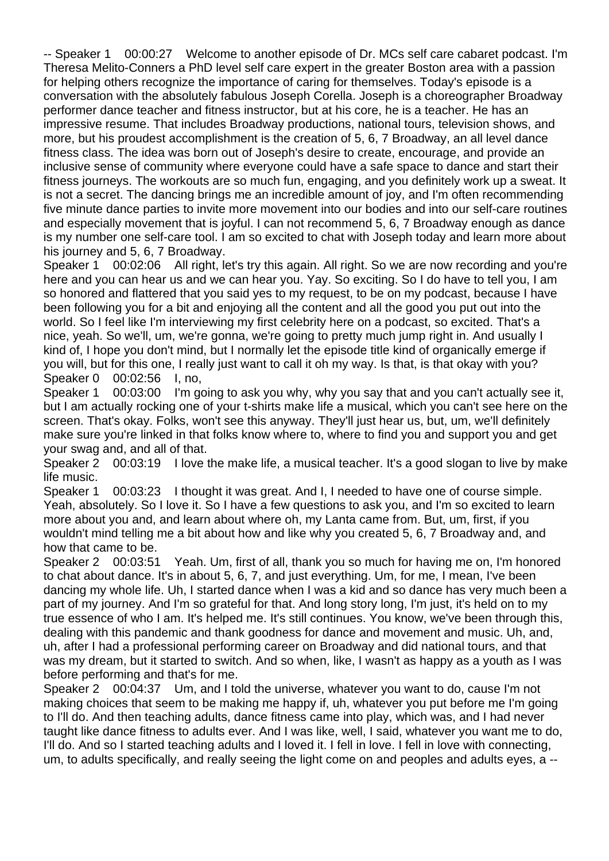-- Speaker 1 00:00:27 Welcome to another episode of Dr. MCs self care cabaret podcast. I'm Theresa Melito-Conners a PhD level self care expert in the greater Boston area with a passion for helping others recognize the importance of caring for themselves. Today's episode is a conversation with the absolutely fabulous Joseph Corella. Joseph is a choreographer Broadway performer dance teacher and fitness instructor, but at his core, he is a teacher. He has an impressive resume. That includes Broadway productions, national tours, television shows, and more, but his proudest accomplishment is the creation of 5, 6, 7 Broadway, an all level dance fitness class. The idea was born out of Joseph's desire to create, encourage, and provide an inclusive sense of community where everyone could have a safe space to dance and start their fitness journeys. The workouts are so much fun, engaging, and you definitely work up a sweat. It is not a secret. The dancing brings me an incredible amount of joy, and I'm often recommending five minute dance parties to invite more movement into our bodies and into our self-care routines and especially movement that is joyful. I can not recommend 5, 6, 7 Broadway enough as dance is my number one self-care tool. I am so excited to chat with Joseph today and learn more about his journey and 5, 6, 7 Broadway.

Speaker 1 00:02:06 All right, let's try this again. All right. So we are now recording and you're here and you can hear us and we can hear you. Yay. So exciting. So I do have to tell you, I am so honored and flattered that you said yes to my request, to be on my podcast, because I have been following you for a bit and enjoying all the content and all the good you put out into the world. So I feel like I'm interviewing my first celebrity here on a podcast, so excited. That's a nice, yeah. So we'll, um, we're gonna, we're going to pretty much jump right in. And usually I kind of, I hope you don't mind, but I normally let the episode title kind of organically emerge if you will, but for this one, I really just want to call it oh my way. Is that, is that okay with you? Speaker 0 00:02:56 I, no,

Speaker 1 00:03:00 I'm going to ask you why, why you say that and you can't actually see it, but I am actually rocking one of your t-shirts make life a musical, which you can't see here on the screen. That's okay. Folks, won't see this anyway. They'll just hear us, but, um, we'll definitely make sure you're linked in that folks know where to, where to find you and support you and get your swag and, and all of that.

Speaker 2 00:03:19 I love the make life, a musical teacher. It's a good slogan to live by make life music.

Speaker 1 00:03:23 I thought it was great. And I, I needed to have one of course simple. Yeah, absolutely. So I love it. So I have a few questions to ask you, and I'm so excited to learn more about you and, and learn about where oh, my Lanta came from. But, um, first, if you wouldn't mind telling me a bit about how and like why you created 5, 6, 7 Broadway and, and how that came to be.

Speaker 2 00:03:51 Yeah. Um, first of all, thank you so much for having me on, I'm honored to chat about dance. It's in about 5, 6, 7, and just everything. Um, for me, I mean, I've been dancing my whole life. Uh, I started dance when I was a kid and so dance has very much been a part of my journey. And I'm so grateful for that. And long story long, I'm just, it's held on to my true essence of who I am. It's helped me. It's still continues. You know, we've been through this, dealing with this pandemic and thank goodness for dance and movement and music. Uh, and, uh, after I had a professional performing career on Broadway and did national tours, and that was my dream, but it started to switch. And so when, like, I wasn't as happy as a youth as I was before performing and that's for me.

Speaker 2 00:04:37 Um, and I told the universe, whatever you want to do, cause I'm not making choices that seem to be making me happy if, uh, whatever you put before me I'm going to I'll do. And then teaching adults, dance fitness came into play, which was, and I had never taught like dance fitness to adults ever. And I was like, well, I said, whatever you want me to do, I'll do. And so I started teaching adults and I loved it. I fell in love. I fell in love with connecting, um, to adults specifically, and really seeing the light come on and peoples and adults eyes, a --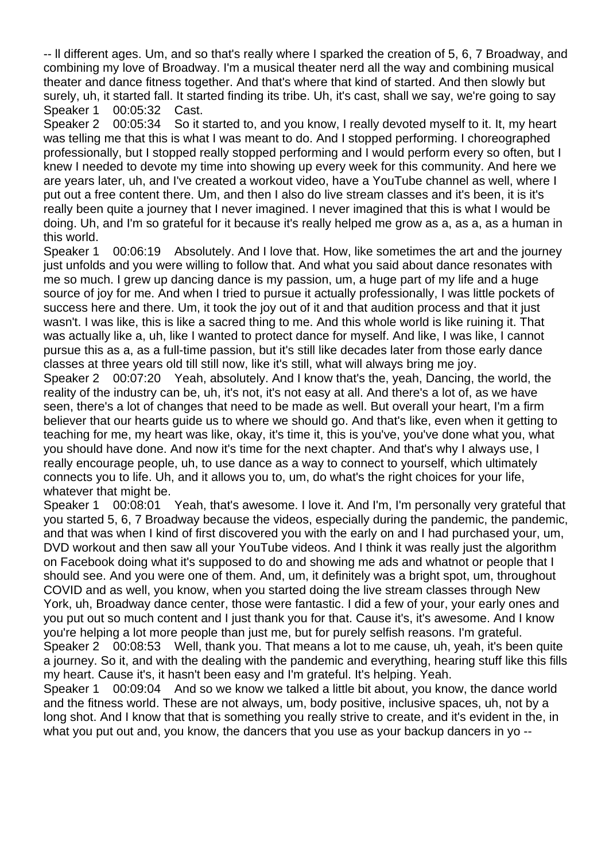-- ll different ages. Um, and so that's really where I sparked the creation of 5, 6, 7 Broadway, and combining my love of Broadway. I'm a musical theater nerd all the way and combining musical theater and dance fitness together. And that's where that kind of started. And then slowly but surely, uh, it started fall. It started finding its tribe. Uh, it's cast, shall we say, we're going to say Speaker 1 00:05:32 Cast.

Speaker 2 00:05:34 So it started to, and you know, I really devoted myself to it. It, my heart was telling me that this is what I was meant to do. And I stopped performing. I choreographed professionally, but I stopped really stopped performing and I would perform every so often, but I knew I needed to devote my time into showing up every week for this community. And here we are years later, uh, and I've created a workout video, have a YouTube channel as well, where I put out a free content there. Um, and then I also do live stream classes and it's been, it is it's really been quite a journey that I never imagined. I never imagined that this is what I would be doing. Uh, and I'm so grateful for it because it's really helped me grow as a, as a, as a human in this world.

Speaker 1 00:06:19 Absolutely. And I love that. How, like sometimes the art and the journey just unfolds and you were willing to follow that. And what you said about dance resonates with me so much. I grew up dancing dance is my passion, um, a huge part of my life and a huge source of joy for me. And when I tried to pursue it actually professionally, I was little pockets of success here and there. Um, it took the joy out of it and that audition process and that it just wasn't. I was like, this is like a sacred thing to me. And this whole world is like ruining it. That was actually like a, uh, like I wanted to protect dance for myself. And like, I was like, I cannot pursue this as a, as a full-time passion, but it's still like decades later from those early dance classes at three years old till still now, like it's still, what will always bring me joy.

Speaker 2 00:07:20 Yeah, absolutely. And I know that's the, yeah, Dancing, the world, the reality of the industry can be, uh, it's not, it's not easy at all. And there's a lot of, as we have seen, there's a lot of changes that need to be made as well. But overall your heart, I'm a firm believer that our hearts guide us to where we should go. And that's like, even when it getting to teaching for me, my heart was like, okay, it's time it, this is you've, you've done what you, what you should have done. And now it's time for the next chapter. And that's why I always use, I really encourage people, uh, to use dance as a way to connect to yourself, which ultimately connects you to life. Uh, and it allows you to, um, do what's the right choices for your life, whatever that might be.

Speaker 1 00:08:01 Yeah, that's awesome. I love it. And I'm, I'm personally very grateful that you started 5, 6, 7 Broadway because the videos, especially during the pandemic, the pandemic, and that was when I kind of first discovered you with the early on and I had purchased your, um, DVD workout and then saw all your YouTube videos. And I think it was really just the algorithm on Facebook doing what it's supposed to do and showing me ads and whatnot or people that I should see. And you were one of them. And, um, it definitely was a bright spot, um, throughout COVID and as well, you know, when you started doing the live stream classes through New York, uh, Broadway dance center, those were fantastic. I did a few of your, your early ones and you put out so much content and I just thank you for that. Cause it's, it's awesome. And I know you're helping a lot more people than just me, but for purely selfish reasons. I'm grateful. Speaker 2 00:08:53 Well, thank you. That means a lot to me cause, uh, yeah, it's been quite a journey. So it, and with the dealing with the pandemic and everything, hearing stuff like this fills my heart. Cause it's, it hasn't been easy and I'm grateful. It's helping. Yeah.

Speaker 1 00:09:04 And so we know we talked a little bit about, you know, the dance world and the fitness world. These are not always, um, body positive, inclusive spaces, uh, not by a long shot. And I know that that is something you really strive to create, and it's evident in the, in what you put out and, you know, the dancers that you use as your backup dancers in yo --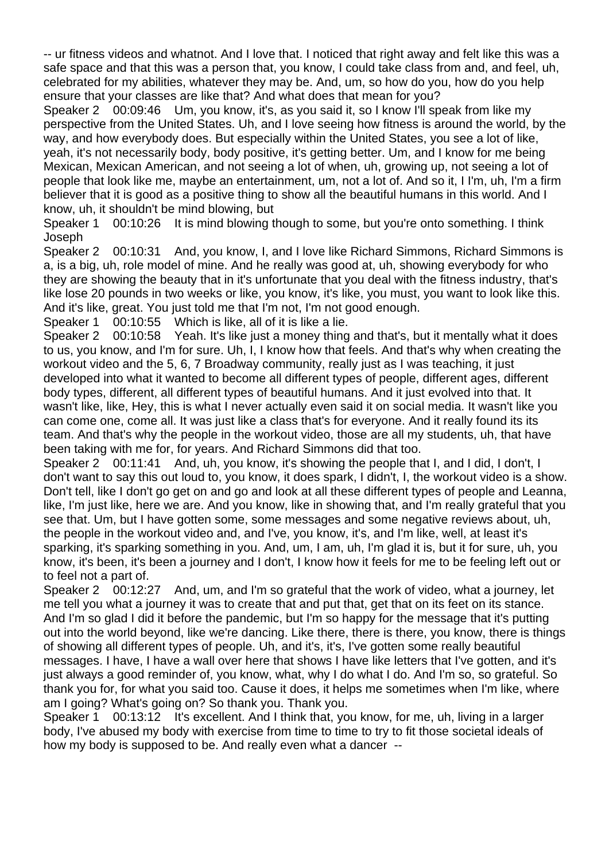-- ur fitness videos and whatnot. And I love that. I noticed that right away and felt like this was a safe space and that this was a person that, you know, I could take class from and, and feel, uh, celebrated for my abilities, whatever they may be. And, um, so how do you, how do you help ensure that your classes are like that? And what does that mean for you?

Speaker 2 00:09:46 Um, you know, it's, as you said it, so I know I'll speak from like my perspective from the United States. Uh, and I love seeing how fitness is around the world, by the way, and how everybody does. But especially within the United States, you see a lot of like, yeah, it's not necessarily body, body positive, it's getting better. Um, and I know for me being Mexican, Mexican American, and not seeing a lot of when, uh, growing up, not seeing a lot of people that look like me, maybe an entertainment, um, not a lot of. And so it, I I'm, uh, I'm a firm believer that it is good as a positive thing to show all the beautiful humans in this world. And I know, uh, it shouldn't be mind blowing, but

Speaker 1 00:10:26 It is mind blowing though to some, but you're onto something. I think Joseph

Speaker 2 00:10:31 And, you know, I, and I love like Richard Simmons, Richard Simmons is a, is a big, uh, role model of mine. And he really was good at, uh, showing everybody for who they are showing the beauty that in it's unfortunate that you deal with the fitness industry, that's like lose 20 pounds in two weeks or like, you know, it's like, you must, you want to look like this. And it's like, great. You just told me that I'm not, I'm not good enough.

Speaker 1 00:10:55 Which is like, all of it is like a lie.

Speaker 2 00:10:58 Yeah. It's like just a money thing and that's, but it mentally what it does to us, you know, and I'm for sure. Uh, I, I know how that feels. And that's why when creating the workout video and the 5, 6, 7 Broadway community, really just as I was teaching, it just developed into what it wanted to become all different types of people, different ages, different body types, different, all different types of beautiful humans. And it just evolved into that. It wasn't like, like, Hey, this is what I never actually even said it on social media. It wasn't like you can come one, come all. It was just like a class that's for everyone. And it really found its its team. And that's why the people in the workout video, those are all my students, uh, that have been taking with me for, for years. And Richard Simmons did that too.

Speaker 2 00:11:41 And, uh, you know, it's showing the people that I, and I did, I don't, I don't want to say this out loud to, you know, it does spark, I didn't, I, the workout video is a show. Don't tell, like I don't go get on and go and look at all these different types of people and Leanna, like, I'm just like, here we are. And you know, like in showing that, and I'm really grateful that you see that. Um, but I have gotten some, some messages and some negative reviews about, uh, the people in the workout video and, and I've, you know, it's, and I'm like, well, at least it's sparking, it's sparking something in you. And, um, I am, uh, I'm glad it is, but it for sure, uh, you know, it's been, it's been a journey and I don't, I know how it feels for me to be feeling left out or to feel not a part of.

Speaker 2 00:12:27 And, um, and I'm so grateful that the work of video, what a journey, let me tell you what a journey it was to create that and put that, get that on its feet on its stance. And I'm so glad I did it before the pandemic, but I'm so happy for the message that it's putting out into the world beyond, like we're dancing. Like there, there is there, you know, there is things of showing all different types of people. Uh, and it's, it's, I've gotten some really beautiful messages. I have, I have a wall over here that shows I have like letters that I've gotten, and it's just always a good reminder of, you know, what, why I do what I do. And I'm so, so grateful. So thank you for, for what you said too. Cause it does, it helps me sometimes when I'm like, where am I going? What's going on? So thank you. Thank you.

Speaker 1 00:13:12 It's excellent. And I think that, you know, for me, uh, living in a larger body, I've abused my body with exercise from time to time to try to fit those societal ideals of how my body is supposed to be. And really even what a dancer --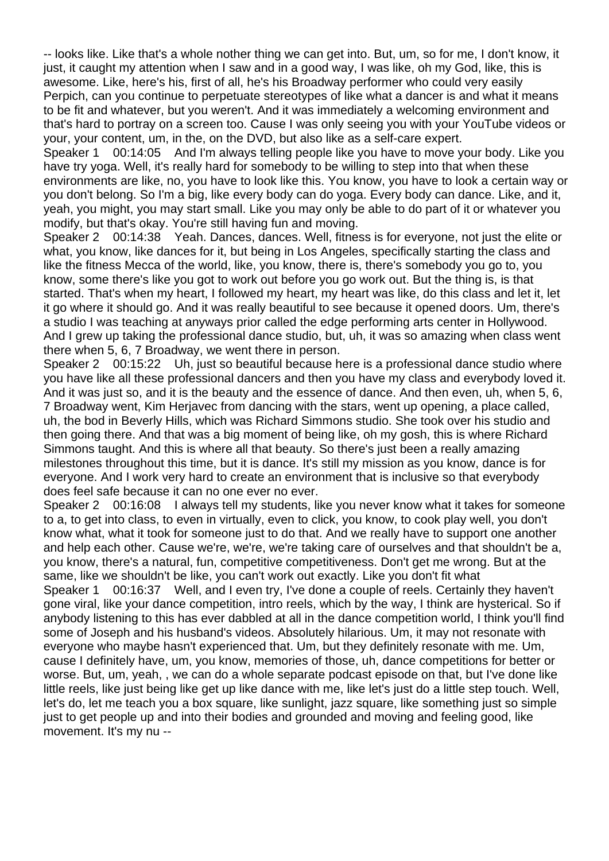-- looks like. Like that's a whole nother thing we can get into. But, um, so for me, I don't know, it just, it caught my attention when I saw and in a good way, I was like, oh my God, like, this is awesome. Like, here's his, first of all, he's his Broadway performer who could very easily Perpich, can you continue to perpetuate stereotypes of like what a dancer is and what it means to be fit and whatever, but you weren't. And it was immediately a welcoming environment and that's hard to portray on a screen too. Cause I was only seeing you with your YouTube videos or your, your content, um, in the, on the DVD, but also like as a self-care expert.

Speaker 1 00:14:05 And I'm always telling people like you have to move your body. Like you have try yoga. Well, it's really hard for somebody to be willing to step into that when these environments are like, no, you have to look like this. You know, you have to look a certain way or you don't belong. So I'm a big, like every body can do yoga. Every body can dance. Like, and it, yeah, you might, you may start small. Like you may only be able to do part of it or whatever you modify, but that's okay. You're still having fun and moving.

Speaker 2 00:14:38 Yeah. Dances, dances. Well, fitness is for everyone, not just the elite or what, you know, like dances for it, but being in Los Angeles, specifically starting the class and like the fitness Mecca of the world, like, you know, there is, there's somebody you go to, you know, some there's like you got to work out before you go work out. But the thing is, is that started. That's when my heart, I followed my heart, my heart was like, do this class and let it, let it go where it should go. And it was really beautiful to see because it opened doors. Um, there's a studio I was teaching at anyways prior called the edge performing arts center in Hollywood. And I grew up taking the professional dance studio, but, uh, it was so amazing when class went there when 5, 6, 7 Broadway, we went there in person.

Speaker 2 00:15:22 Uh, just so beautiful because here is a professional dance studio where you have like all these professional dancers and then you have my class and everybody loved it. And it was just so, and it is the beauty and the essence of dance. And then even, uh, when 5, 6, 7 Broadway went, Kim Herjavec from dancing with the stars, went up opening, a place called, uh, the bod in Beverly Hills, which was Richard Simmons studio. She took over his studio and then going there. And that was a big moment of being like, oh my gosh, this is where Richard Simmons taught. And this is where all that beauty. So there's just been a really amazing milestones throughout this time, but it is dance. It's still my mission as you know, dance is for everyone. And I work very hard to create an environment that is inclusive so that everybody does feel safe because it can no one ever no ever.

Speaker 2 00:16:08 I always tell my students, like you never know what it takes for someone to a, to get into class, to even in virtually, even to click, you know, to cook play well, you don't know what, what it took for someone just to do that. And we really have to support one another and help each other. Cause we're, we're, we're taking care of ourselves and that shouldn't be a, you know, there's a natural, fun, competitive competitiveness. Don't get me wrong. But at the same, like we shouldn't be like, you can't work out exactly. Like you don't fit what Speaker 1 00:16:37 Well, and I even try, I've done a couple of reels. Certainly they haven't gone viral, like your dance competition, intro reels, which by the way, I think are hysterical. So if anybody listening to this has ever dabbled at all in the dance competition world, I think you'll find some of Joseph and his husband's videos. Absolutely hilarious. Um, it may not resonate with everyone who maybe hasn't experienced that. Um, but they definitely resonate with me. Um, cause I definitely have, um, you know, memories of those, uh, dance competitions for better or worse. But, um, yeah, , we can do a whole separate podcast episode on that, but I've done like little reels, like just being like get up like dance with me, like let's just do a little step touch. Well, let's do, let me teach you a box square, like sunlight, jazz square, like something just so simple just to get people up and into their bodies and grounded and moving and feeling good, like movement. It's my nu --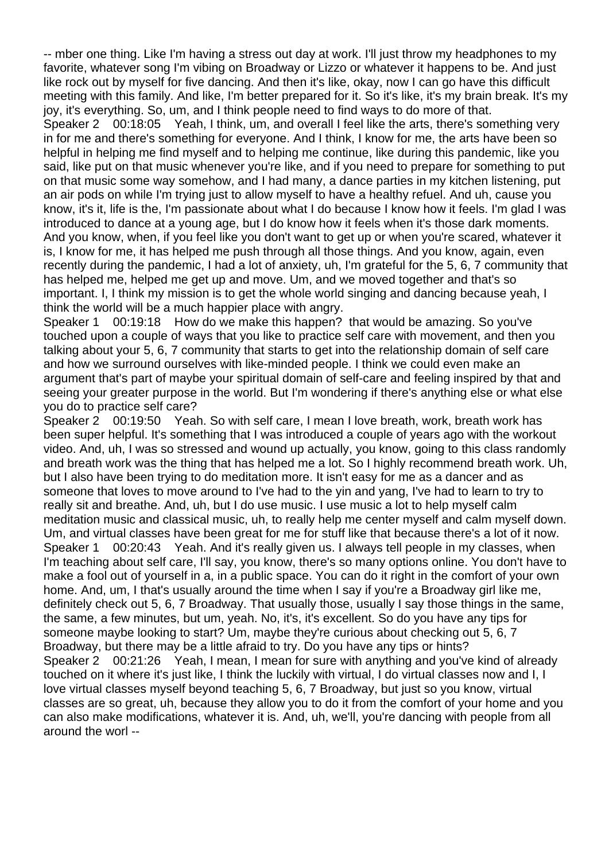-- mber one thing. Like I'm having a stress out day at work. I'll just throw my headphones to my favorite, whatever song I'm vibing on Broadway or Lizzo or whatever it happens to be. And just like rock out by myself for five dancing. And then it's like, okay, now I can go have this difficult meeting with this family. And like, I'm better prepared for it. So it's like, it's my brain break. It's my joy, it's everything. So, um, and I think people need to find ways to do more of that.

Speaker 2 00:18:05 Yeah, I think, um, and overall I feel like the arts, there's something very in for me and there's something for everyone. And I think, I know for me, the arts have been so helpful in helping me find myself and to helping me continue, like during this pandemic, like you said, like put on that music whenever you're like, and if you need to prepare for something to put on that music some way somehow, and I had many, a dance parties in my kitchen listening, put an air pods on while I'm trying just to allow myself to have a healthy refuel. And uh, cause you know, it's it, life is the, I'm passionate about what I do because I know how it feels. I'm glad I was introduced to dance at a young age, but I do know how it feels when it's those dark moments. And you know, when, if you feel like you don't want to get up or when you're scared, whatever it is, I know for me, it has helped me push through all those things. And you know, again, even recently during the pandemic, I had a lot of anxiety, uh, I'm grateful for the 5, 6, 7 community that has helped me, helped me get up and move. Um, and we moved together and that's so important. I, I think my mission is to get the whole world singing and dancing because yeah, I think the world will be a much happier place with angry.

Speaker 1 00:19:18 How do we make this happen? that would be amazing. So you've touched upon a couple of ways that you like to practice self care with movement, and then you talking about your 5, 6, 7 community that starts to get into the relationship domain of self care and how we surround ourselves with like-minded people. I think we could even make an argument that's part of maybe your spiritual domain of self-care and feeling inspired by that and seeing your greater purpose in the world. But I'm wondering if there's anything else or what else you do to practice self care?

Speaker 2 00:19:50 Yeah. So with self care, I mean I love breath, work, breath work has been super helpful. It's something that I was introduced a couple of years ago with the workout video. And, uh, I was so stressed and wound up actually, you know, going to this class randomly and breath work was the thing that has helped me a lot. So I highly recommend breath work. Uh, but I also have been trying to do meditation more. It isn't easy for me as a dancer and as someone that loves to move around to I've had to the yin and yang, I've had to learn to try to really sit and breathe. And, uh, but I do use music. I use music a lot to help myself calm meditation music and classical music, uh, to really help me center myself and calm myself down. Um, and virtual classes have been great for me for stuff like that because there's a lot of it now. Speaker 1 00:20:43 Yeah. And it's really given us. I always tell people in my classes, when I'm teaching about self care, I'll say, you know, there's so many options online. You don't have to make a fool out of yourself in a, in a public space. You can do it right in the comfort of your own home. And, um, I that's usually around the time when I say if you're a Broadway girl like me, definitely check out 5, 6, 7 Broadway. That usually those, usually I say those things in the same, the same, a few minutes, but um, yeah. No, it's, it's excellent. So do you have any tips for someone maybe looking to start? Um, maybe they're curious about checking out 5, 6, 7 Broadway, but there may be a little afraid to try. Do you have any tips or hints? Speaker 2 00:21:26 Yeah, I mean, I mean for sure with anything and you've kind of already touched on it where it's just like, I think the luckily with virtual, I do virtual classes now and I, I love virtual classes myself beyond teaching 5, 6, 7 Broadway, but just so you know, virtual classes are so great, uh, because they allow you to do it from the comfort of your home and you can also make modifications, whatever it is. And, uh, we'll, you're dancing with people from all around the worl --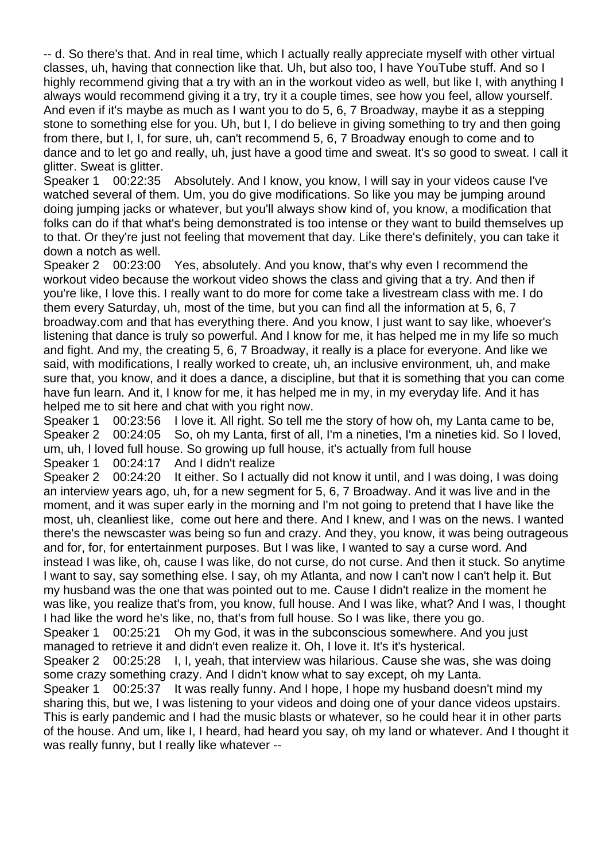-- d. So there's that. And in real time, which I actually really appreciate myself with other virtual classes, uh, having that connection like that. Uh, but also too, I have YouTube stuff. And so I highly recommend giving that a try with an in the workout video as well, but like I, with anything I always would recommend giving it a try, try it a couple times, see how you feel, allow yourself. And even if it's maybe as much as I want you to do 5, 6, 7 Broadway, maybe it as a stepping stone to something else for you. Uh, but I, I do believe in giving something to try and then going from there, but I, I, for sure, uh, can't recommend 5, 6, 7 Broadway enough to come and to dance and to let go and really, uh, just have a good time and sweat. It's so good to sweat. I call it glitter. Sweat is glitter.

Speaker 1 00:22:35 Absolutely. And I know, you know, I will say in your videos cause I've watched several of them. Um, you do give modifications. So like you may be jumping around doing jumping jacks or whatever, but you'll always show kind of, you know, a modification that folks can do if that what's being demonstrated is too intense or they want to build themselves up to that. Or they're just not feeling that movement that day. Like there's definitely, you can take it down a notch as well.

Speaker 2 00:23:00 Yes, absolutely. And you know, that's why even I recommend the workout video because the workout video shows the class and giving that a try. And then if you're like, I love this. I really want to do more for come take a livestream class with me. I do them every Saturday, uh, most of the time, but you can find all the information at 5, 6, 7 broadway.com and that has everything there. And you know, I just want to say like, whoever's listening that dance is truly so powerful. And I know for me, it has helped me in my life so much and fight. And my, the creating 5, 6, 7 Broadway, it really is a place for everyone. And like we said, with modifications, I really worked to create, uh, an inclusive environment, uh, and make sure that, you know, and it does a dance, a discipline, but that it is something that you can come have fun learn. And it, I know for me, it has helped me in my, in my everyday life. And it has helped me to sit here and chat with you right now.

Speaker 1 00:23:56 I love it. All right. So tell me the story of how oh, my Lanta came to be, Speaker 2 00:24:05 So, oh my Lanta, first of all, I'm a nineties, I'm a nineties kid. So I loved, um, uh, I loved full house. So growing up full house, it's actually from full house Speaker 1 00:24:17 And I didn't realize

Speaker 2 00:24:20 It either. So I actually did not know it until, and I was doing, I was doing an interview years ago, uh, for a new segment for 5, 6, 7 Broadway. And it was live and in the moment, and it was super early in the morning and I'm not going to pretend that I have like the most, uh, cleanliest like, come out here and there. And I knew, and I was on the news. I wanted there's the newscaster was being so fun and crazy. And they, you know, it was being outrageous and for, for, for entertainment purposes. But I was like, I wanted to say a curse word. And instead I was like, oh, cause I was like, do not curse, do not curse. And then it stuck. So anytime I want to say, say something else. I say, oh my Atlanta, and now I can't now I can't help it. But my husband was the one that was pointed out to me. Cause I didn't realize in the moment he was like, you realize that's from, you know, full house. And I was like, what? And I was, I thought I had like the word he's like, no, that's from full house. So I was like, there you go. Speaker 1 00:25:21 Oh my God, it was in the subconscious somewhere. And you just managed to retrieve it and didn't even realize it. Oh, I love it. It's it's hysterical. Speaker 2 00:25:28 I, I, yeah, that interview was hilarious. Cause she was, she was doing some crazy something crazy. And I didn't know what to say except, oh my Lanta.

Speaker 1 00:25:37 It was really funny. And I hope, I hope my husband doesn't mind my sharing this, but we, I was listening to your videos and doing one of your dance videos upstairs. This is early pandemic and I had the music blasts or whatever, so he could hear it in other parts of the house. And um, like I, I heard, had heard you say, oh my land or whatever. And I thought it was really funny, but I really like whatever --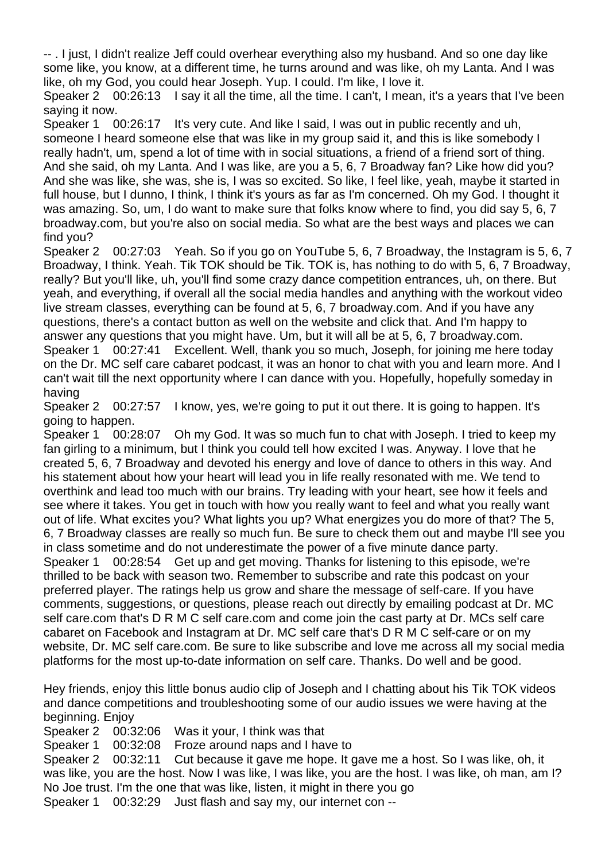-- . I just, I didn't realize Jeff could overhear everything also my husband. And so one day like some like, you know, at a different time, he turns around and was like, oh my Lanta. And I was like, oh my God, you could hear Joseph. Yup. I could. I'm like, I love it.

Speaker 2 00:26:13 I say it all the time, all the time. I can't, I mean, it's a years that I've been saying it now.

Speaker 1 00:26:17 It's very cute. And like I said, I was out in public recently and uh, someone I heard someone else that was like in my group said it, and this is like somebody I really hadn't, um, spend a lot of time with in social situations, a friend of a friend sort of thing. And she said, oh my Lanta. And I was like, are you a 5, 6, 7 Broadway fan? Like how did you? And she was like, she was, she is, I was so excited. So like, I feel like, yeah, maybe it started in full house, but I dunno, I think, I think it's yours as far as I'm concerned. Oh my God. I thought it was amazing. So, um, I do want to make sure that folks know where to find, you did say 5, 6, 7 broadway.com, but you're also on social media. So what are the best ways and places we can find you?

Speaker 2 00:27:03 Yeah. So if you go on YouTube 5, 6, 7 Broadway, the Instagram is 5, 6, 7 Broadway, I think. Yeah. Tik TOK should be Tik. TOK is, has nothing to do with 5, 6, 7 Broadway, really? But you'll like, uh, you'll find some crazy dance competition entrances, uh, on there. But yeah, and everything, if overall all the social media handles and anything with the workout video live stream classes, everything can be found at 5, 6, 7 broadway.com. And if you have any questions, there's a contact button as well on the website and click that. And I'm happy to answer any questions that you might have. Um, but it will all be at 5, 6, 7 broadway.com. Speaker 1 00:27:41 Excellent. Well, thank you so much, Joseph, for joining me here today on the Dr. MC self care cabaret podcast, it was an honor to chat with you and learn more. And I can't wait till the next opportunity where I can dance with you. Hopefully, hopefully someday in having

Speaker 2 00:27:57 I know, yes, we're going to put it out there. It is going to happen. It's going to happen.

Speaker 1 00:28:07 Oh my God. It was so much fun to chat with Joseph. I tried to keep my fan girling to a minimum, but I think you could tell how excited I was. Anyway. I love that he created 5, 6, 7 Broadway and devoted his energy and love of dance to others in this way. And his statement about how your heart will lead you in life really resonated with me. We tend to overthink and lead too much with our brains. Try leading with your heart, see how it feels and see where it takes. You get in touch with how you really want to feel and what you really want out of life. What excites you? What lights you up? What energizes you do more of that? The 5, 6, 7 Broadway classes are really so much fun. Be sure to check them out and maybe I'll see you in class sometime and do not underestimate the power of a five minute dance party. Speaker 1 00:28:54 Get up and get moving. Thanks for listening to this episode, we're thrilled to be back with season two. Remember to subscribe and rate this podcast on your preferred player. The ratings help us grow and share the message of self-care. If you have comments, suggestions, or questions, please reach out directly by emailing podcast at Dr. MC self care.com that's D R M C self care.com and come join the cast party at Dr. MCs self care cabaret on Facebook and Instagram at Dr. MC self care that's D R M C self-care or on my website, Dr. MC self care.com. Be sure to like subscribe and love me across all my social media platforms for the most up-to-date information on self care. Thanks. Do well and be good.

Hey friends, enjoy this little bonus audio clip of Joseph and I chatting about his Tik TOK videos and dance competitions and troubleshooting some of our audio issues we were having at the beginning. Enjoy

Speaker 2 00:32:06 Was it your, I think was that Speaker 1 00:32:08 Froze around naps and I have to Speaker 2 00:32:11 Cut because it gave me hope. It gave me a host. So I was like, oh, it was like, you are the host. Now I was like, I was like, you are the host. I was like, oh man, am I? No Joe trust. I'm the one that was like, listen, it might in there you go Speaker 1 00:32:29 Just flash and say my, our internet con --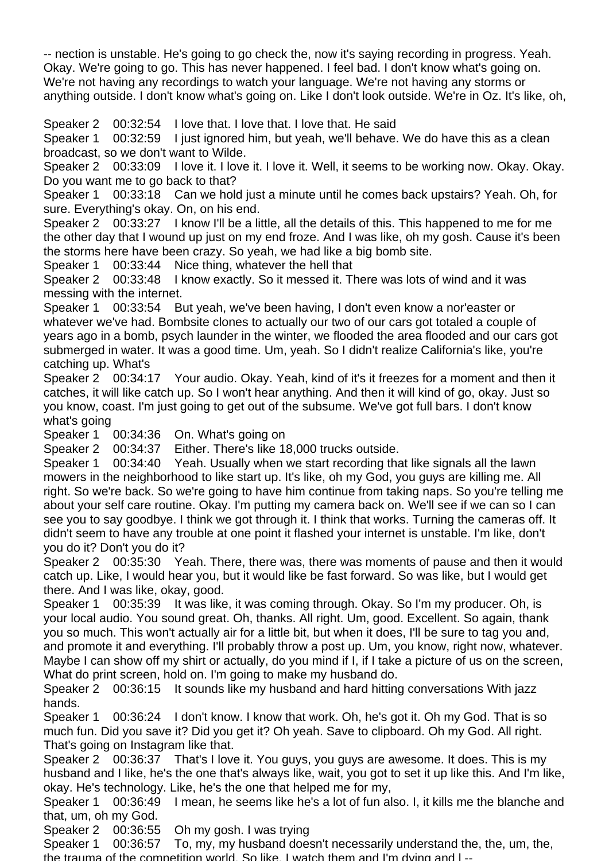-- nection is unstable. He's going to go check the, now it's saying recording in progress. Yeah. Okay. We're going to go. This has never happened. I feel bad. I don't know what's going on. We're not having any recordings to watch your language. We're not having any storms or anything outside. I don't know what's going on. Like I don't look outside. We're in Oz. It's like, oh,

Speaker 2 00:32:54 I love that. I love that. I love that. He said

Speaker 1 00:32:59 I just ignored him, but yeah, we'll behave. We do have this as a clean broadcast, so we don't want to Wilde.

Speaker 2 00:33:09 I love it. I love it. I love it. Well, it seems to be working now. Okay. Okay. Do you want me to go back to that?

Speaker 1 00:33:18 Can we hold just a minute until he comes back upstairs? Yeah. Oh, for sure. Everything's okay. On, on his end.

Speaker 2 00:33:27 I know I'll be a little, all the details of this. This happened to me for me the other day that I wound up just on my end froze. And I was like, oh my gosh. Cause it's been the storms here have been crazy. So yeah, we had like a big bomb site.

Speaker 1 00:33:44 Nice thing, whatever the hell that

Speaker 2 00:33:48 I know exactly. So it messed it. There was lots of wind and it was messing with the internet.

Speaker 1 00:33:54 But yeah, we've been having, I don't even know a nor'easter or whatever we've had. Bombsite clones to actually our two of our cars got totaled a couple of years ago in a bomb, psych launder in the winter, we flooded the area flooded and our cars got submerged in water. It was a good time. Um, yeah. So I didn't realize California's like, you're catching up. What's

Speaker 2 00:34:17 Your audio. Okay. Yeah, kind of it's it freezes for a moment and then it catches, it will like catch up. So I won't hear anything. And then it will kind of go, okay. Just so you know, coast. I'm just going to get out of the subsume. We've got full bars. I don't know what's going

Speaker 1 00:34:36 On. What's going on

Speaker 2 00:34:37 Either. There's like 18,000 trucks outside.

Speaker 1 00:34:40 Yeah. Usually when we start recording that like signals all the lawn mowers in the neighborhood to like start up. It's like, oh my God, you guys are killing me. All right. So we're back. So we're going to have him continue from taking naps. So you're telling me about your self care routine. Okay. I'm putting my camera back on. We'll see if we can so I can see you to say goodbye. I think we got through it. I think that works. Turning the cameras off. It didn't seem to have any trouble at one point it flashed your internet is unstable. I'm like, don't you do it? Don't you do it?

Speaker 2 00:35:30 Yeah. There, there was, there was moments of pause and then it would catch up. Like, I would hear you, but it would like be fast forward. So was like, but I would get there. And I was like, okay, good.

Speaker 1 00:35:39 It was like, it was coming through. Okay. So I'm my producer. Oh, is your local audio. You sound great. Oh, thanks. All right. Um, good. Excellent. So again, thank you so much. This won't actually air for a little bit, but when it does, I'll be sure to tag you and, and promote it and everything. I'll probably throw a post up. Um, you know, right now, whatever. Maybe I can show off my shirt or actually, do you mind if I, if I take a picture of us on the screen, What do print screen, hold on. I'm going to make my husband do.

Speaker 2 00:36:15 It sounds like my husband and hard hitting conversations With jazz hands.

Speaker 1 00:36:24 I don't know. I know that work. Oh, he's got it. Oh my God. That is so much fun. Did you save it? Did you get it? Oh yeah. Save to clipboard. Oh my God. All right. That's going on Instagram like that.

Speaker 2 00:36:37 That's I love it. You guys, you guys are awesome. It does. This is my husband and I like, he's the one that's always like, wait, you got to set it up like this. And I'm like, okay. He's technology. Like, he's the one that helped me for my,

Speaker 1 00:36:49 I mean, he seems like he's a lot of fun also. I, it kills me the blanche and that, um, oh my God.

Speaker 2 00:36:55 Oh my gosh. I was trying

Speaker 1 00:36:57 To, my, my husband doesn't necessarily understand the, the, um, the, the trauma of the competition world. So like, I watch them and I'm dying and l --